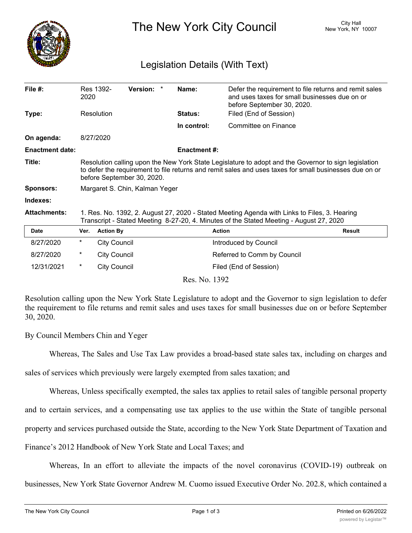

The New York City Council New York, NY 10007

## Legislation Details (With Text)

| File #:                | 2020                                                                                                                                                                                                                                         | Res 1392-           | Version: * |  | Name:              | Defer the requirement to file returns and remit sales<br>and uses taxes for small businesses due on or<br>before September 30, 2020. |               |
|------------------------|----------------------------------------------------------------------------------------------------------------------------------------------------------------------------------------------------------------------------------------------|---------------------|------------|--|--------------------|--------------------------------------------------------------------------------------------------------------------------------------|---------------|
| Type:                  |                                                                                                                                                                                                                                              | Resolution          |            |  | Status:            | Filed (End of Session)                                                                                                               |               |
|                        |                                                                                                                                                                                                                                              |                     |            |  | In control:        | Committee on Finance                                                                                                                 |               |
| On agenda:             | 8/27/2020                                                                                                                                                                                                                                    |                     |            |  |                    |                                                                                                                                      |               |
| <b>Enactment date:</b> |                                                                                                                                                                                                                                              |                     |            |  | <b>Enactment#:</b> |                                                                                                                                      |               |
| Title:                 | Resolution calling upon the New York State Legislature to adopt and the Governor to sign legislation<br>to defer the requirement to file returns and remit sales and uses taxes for small businesses due on or<br>before September 30, 2020. |                     |            |  |                    |                                                                                                                                      |               |
| <b>Sponsors:</b>       | Margaret S. Chin, Kalman Yeger                                                                                                                                                                                                               |                     |            |  |                    |                                                                                                                                      |               |
| Indexes:               |                                                                                                                                                                                                                                              |                     |            |  |                    |                                                                                                                                      |               |
| <b>Attachments:</b>    | 1. Res. No. 1392, 2. August 27, 2020 - Stated Meeting Agenda with Links to Files, 3. Hearing<br>Transcript - Stated Meeting 8-27-20, 4. Minutes of the Stated Meeting - August 27, 2020                                                      |                     |            |  |                    |                                                                                                                                      |               |
| <b>Date</b>            | Ver.                                                                                                                                                                                                                                         | <b>Action By</b>    |            |  |                    | <b>Action</b>                                                                                                                        | <b>Result</b> |
| 8/27/2020              | *                                                                                                                                                                                                                                            | <b>City Council</b> |            |  |                    | Introduced by Council                                                                                                                |               |
| 8/27/2020              | *                                                                                                                                                                                                                                            | <b>City Council</b> |            |  |                    | Referred to Comm by Council                                                                                                          |               |
| 12/31/2021             | $^\star$                                                                                                                                                                                                                                     | <b>City Council</b> |            |  |                    | Filed (End of Session)                                                                                                               |               |
| Res. No. 1392          |                                                                                                                                                                                                                                              |                     |            |  |                    |                                                                                                                                      |               |

Resolution calling upon the New York State Legislature to adopt and the Governor to sign legislation to defer the requirement to file returns and remit sales and uses taxes for small businesses due on or before September 30, 2020.

## By Council Members Chin and Yeger

Whereas, The Sales and Use Tax Law provides a broad-based state sales tax, including on charges and

sales of services which previously were largely exempted from sales taxation; and

Whereas, Unless specifically exempted, the sales tax applies to retail sales of tangible personal property

and to certain services, and a compensating use tax applies to the use within the State of tangible personal

property and services purchased outside the State, according to the New York State Department of Taxation and

Finance's 2012 Handbook of New York State and Local Taxes; and

Whereas, In an effort to alleviate the impacts of the novel coronavirus (COVID-19) outbreak on

businesses, New York State Governor Andrew M. Cuomo issued Executive Order No. 202.8, which contained a